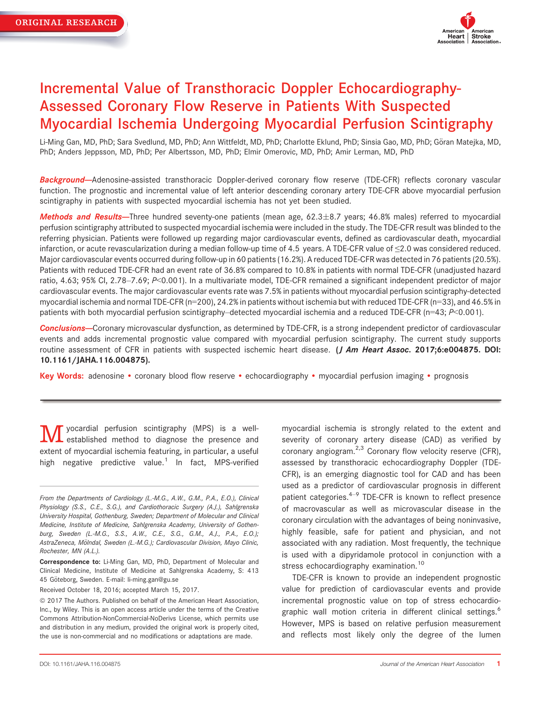

# Incremental Value of Transthoracic Doppler Echocardiography-Assessed Coronary Flow Reserve in Patients With Suspected Myocardial Ischemia Undergoing Myocardial Perfusion Scintigraphy

Li-Ming Gan, MD, PhD; Sara Svedlund, MD, PhD; Ann Wittfeldt, MD, PhD; Charlotte Eklund, PhD; Sinsia Gao, MD, PhD; Göran Matejka, MD, PhD; Anders Jeppsson, MD, PhD; Per Albertsson, MD, PhD; Elmir Omerovic, MD, PhD; Amir Lerman, MD, PhD

Background-Adenosine-assisted transthoracic Doppler-derived coronary flow reserve (TDE-CFR) reflects coronary vascular function. The prognostic and incremental value of left anterior descending coronary artery TDE-CFR above myocardial perfusion scintigraphy in patients with suspected myocardial ischemia has not yet been studied.

**Methods and Results--**Three hundred seventy-one patients (mean age,  $62.3\pm8.7$  years; 46.8% males) referred to myocardial perfusion scintigraphy attributed to suspected myocardial ischemia were included in the study. The TDE-CFR result was blinded to the referring physician. Patients were followed up regarding major cardiovascular events, defined as cardiovascular death, myocardial infarction, or acute revascularization during a median follow-up time of 4.5 years. A TDE-CFR value of ≤2.0 was considered reduced. Major cardiovascular events occurred during follow-up in 60 patients (16.2%). A reduced TDE-CFR was detected in 76 patients (20.5%). Patients with reduced TDE-CFR had an event rate of 36.8% compared to 10.8% in patients with normal TDE-CFR (unadjusted hazard ratio, 4.63; 95% CI, 2.78–7.69; P<0.001). In a multivariate model, TDE-CFR remained a significant independent predictor of major cardiovascular events. The major cardiovascular events rate was 7.5% in patients without myocardial perfusion scintigraphy-detected myocardial ischemia and normal TDE-CFR (n=200), 24.2% in patients without ischemia but with reduced TDE-CFR (n=33), and 46.5% in patients with both myocardial perfusion scintigraphy–detected myocardial ischemia and a reduced TDE-CFR (n=43; P<0.001).

Conclusions--Coronary microvascular dysfunction, as determined by TDE-CFR, is a strong independent predictor of cardiovascular events and adds incremental prognostic value compared with myocardial perfusion scintigraphy. The current study supports routine assessment of CFR in patients with suspected ischemic heart disease. (*J Am Heart Assoc.* 2017;6:e004875. DOI: [10.1161/JAHA.116.004875\)](info:doi/10.1161/JAHA.116.004875).

Key Words: adenosine • coronary blood flow reserve • echocardiography • myocardial perfusion imaging • prognosis

yocardial perfusion scintigraphy (MPS) is a wellestablished method to diagnose the presence and extent of myocardial ischemia featuring, in particular, a useful high negative predictive value.<sup>1</sup> In fact, MPS-verified

Correspondence to: Li-Ming Gan, MD, PhD, Department of Molecular and Clinical Medicine, Institute of Medicine at Sahlgrenska Academy, S: 413 45 Göteborg, Sweden. E-mail: li-ming.gan@gu.se

Received October 18, 2016; accepted March 15, 2017.

 $©$  2017 The Authors. Published on behalf of the American Heart Association, Inc., by Wiley. This is an open access article under the terms of the [Creative](http://creativecommons.org/licenses/by-nc-nd/4.0/) [Commons Attribution-NonCommercial-NoDerivs](http://creativecommons.org/licenses/by-nc-nd/4.0/) License, which permits use and distribution in any medium, provided the original work is properly cited, the use is non-commercial and no modifications or adaptations are made.

myocardial ischemia is strongly related to the extent and severity of coronary artery disease (CAD) as verified by coronary angiogram.<sup>2,3</sup> Coronary flow velocity reserve (CFR), assessed by transthoracic echocardiography Doppler (TDE-CFR), is an emerging diagnostic tool for CAD and has been used as a predictor of cardiovascular prognosis in different patient categories. $4-9$  TDE-CFR is known to reflect presence of macrovascular as well as microvascular disease in the coronary circulation with the advantages of being noninvasive, highly feasible, safe for patient and physician, and not associated with any radiation. Most frequently, the technique is used with a dipyridamole protocol in conjunction with a stress echocardiography examination.<sup>10</sup>

TDE-CFR is known to provide an independent prognostic value for prediction of cardiovascular events and provide incremental prognostic value on top of stress echocardiographic wall motion criteria in different clinical settings.<sup>6</sup> However, MPS is based on relative perfusion measurement and reflects most likely only the degree of the lumen

From the Departments of Cardiology (L.-M.G., A.W., G.M., P.A., E.O.), Clinical Physiology (S.S., C.E., S.G.), and Cardiothoracic Surgery (A.J.), Sahlgrenska University Hospital, Gothenburg, Sweden; Department of Molecular and Clinical Medicine, Institute of Medicine, Sahlgrenska Academy, University of Gothenburg, Sweden (L.-M.G., S.S., A.W., C.E., S.G., G.M., A.J., P.A., E.O.); AstraZeneca, Mölndal, Sweden (L.-M.G.); Cardiovascular Division, Mayo Clinic, Rochester, MN (A.L.).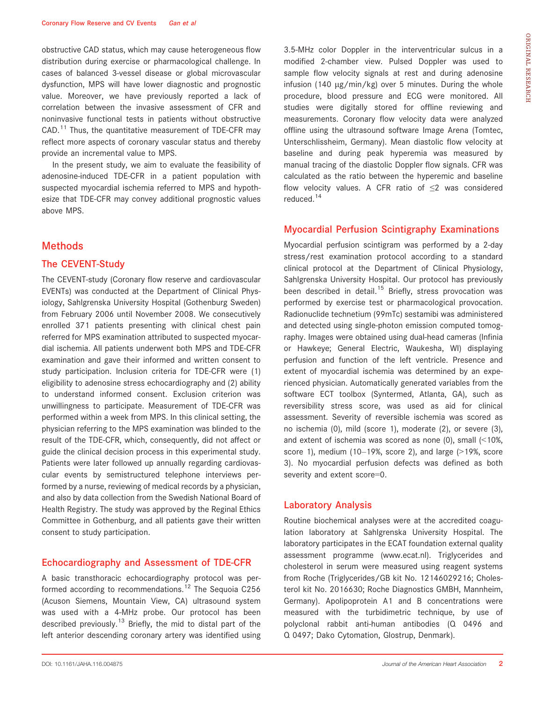obstructive CAD status, which may cause heterogeneous flow distribution during exercise or pharmacological challenge. In cases of balanced 3-vessel disease or global microvascular dysfunction, MPS will have lower diagnostic and prognostic value. Moreover, we have previously reported a lack of correlation between the invasive assessment of CFR and noninvasive functional tests in patients without obstructive  $CAD.<sup>11</sup>$  Thus, the quantitative measurement of TDE-CFR may reflect more aspects of coronary vascular status and thereby provide an incremental value to MPS.

In the present study, we aim to evaluate the feasibility of adenosine-induced TDE-CFR in a patient population with suspected myocardial ischemia referred to MPS and hypothesize that TDE-CFR may convey additional prognostic values above MPS.

## Methods

## The CEVENT-Study

The CEVENT-study (Coronary flow reserve and cardiovascular EVENTs) was conducted at the Department of Clinical Physiology, Sahlgrenska University Hospital (Gothenburg Sweden) from February 2006 until November 2008. We consecutively enrolled 371 patients presenting with clinical chest pain referred for MPS examination attributed to suspected myocardial ischemia. All patients underwent both MPS and TDE-CFR examination and gave their informed and written consent to study participation. Inclusion criteria for TDE-CFR were (1) eligibility to adenosine stress echocardiography and (2) ability to understand informed consent. Exclusion criterion was unwillingness to participate. Measurement of TDE-CFR was performed within a week from MPS. In this clinical setting, the physician referring to the MPS examination was blinded to the result of the TDE-CFR, which, consequently, did not affect or guide the clinical decision process in this experimental study. Patients were later followed up annually regarding cardiovascular events by semistructured telephone interviews performed by a nurse, reviewing of medical records by a physician, and also by data collection from the Swedish National Board of Health Registry. The study was approved by the Reginal Ethics Committee in Gothenburg, and all patients gave their written consent to study participation.

## Echocardiography and Assessment of TDE-CFR

A basic transthoracic echocardiography protocol was performed according to recommendations.<sup>12</sup> The Sequoia C256 (Acuson Siemens, Mountain View, CA) ultrasound system was used with a 4-MHz probe. Our protocol has been described previously.<sup>13</sup> Briefly, the mid to distal part of the left anterior descending coronary artery was identified using

3.5-MHz color Doppler in the interventricular sulcus in a modified 2-chamber view. Pulsed Doppler was used to sample flow velocity signals at rest and during adenosine infusion (140  $\mu$ g/min/kg) over 5 minutes. During the whole procedure, blood pressure and ECG were monitored. All studies were digitally stored for offline reviewing and measurements. Coronary flow velocity data were analyzed offline using the ultrasound software Image Arena (Tomtec, Unterschlissheim, Germany). Mean diastolic flow velocity at baseline and during peak hyperemia was measured by manual tracing of the diastolic Doppler flow signals. CFR was calculated as the ratio between the hyperemic and baseline flow velocity values. A CFR ratio of  $\leq$ 2 was considered reduced.<sup>14</sup>

# Myocardial Perfusion Scintigraphy Examinations

Myocardial perfusion scintigram was performed by a 2-day stress/rest examination protocol according to a standard clinical protocol at the Department of Clinical Physiology, Sahlgrenska University Hospital. Our protocol has previously been described in detail.<sup>15</sup> Briefly, stress provocation was performed by exercise test or pharmacological provocation. Radionuclide technetium (99mTc) sestamibi was administered and detected using single-photon emission computed tomography. Images were obtained using dual-head cameras (Infinia or Hawkeye; General Electric, Waukesha, WI) displaying perfusion and function of the left ventricle. Presence and extent of myocardial ischemia was determined by an experienced physician. Automatically generated variables from the software ECT toolbox (Syntermed, Atlanta, GA), such as reversibility stress score, was used as aid for clinical assessment. Severity of reversible ischemia was scored as no ischemia (0), mild (score 1), moderate (2), or severe (3), and extent of ischemia was scored as none (0), small (<10%, score 1), medium (10–19%, score 2), and large  $(>19%$ , score 3). No myocardial perfusion defects was defined as both severity and extent score=0.

# Laboratory Analysis

Routine biochemical analyses were at the accredited coagulation laboratory at Sahlgrenska University Hospital. The laboratory participates in the ECAT foundation external quality assessment programme [\(www.ecat.nl](http://www.ecat.nl)). Triglycerides and cholesterol in serum were measured using reagent systems from Roche (Triglycerides/GB kit No. 12146029216; Cholesterol kit No. 2016630; Roche Diagnostics GMBH, Mannheim, Germany). Apolipoprotein A1 and B concentrations were measured with the turbidimetric technique, by use of polyclonal rabbit anti-human antibodies (Q 0496 and Q 0497; Dako Cytomation, Glostrup, Denmark).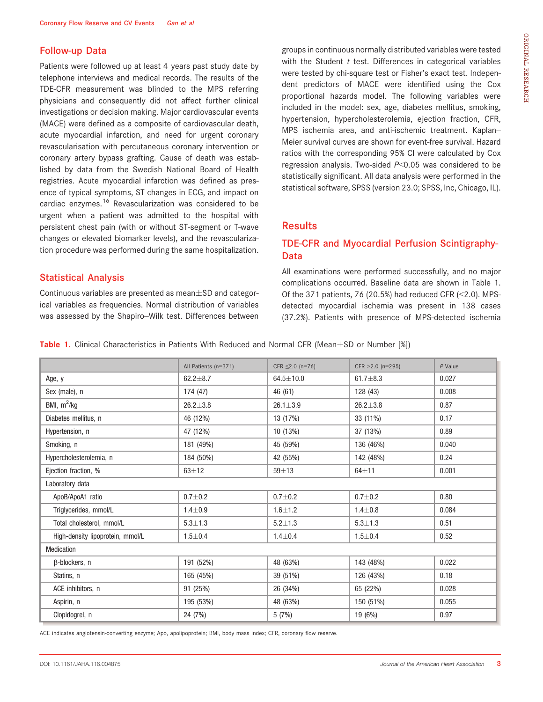# Follow-up Data

Patients were followed up at least 4 years past study date by telephone interviews and medical records. The results of the TDE-CFR measurement was blinded to the MPS referring physicians and consequently did not affect further clinical investigations or decision making. Major cardiovascular events (MACE) were defined as a composite of cardiovascular death, acute myocardial infarction, and need for urgent coronary revascularisation with percutaneous coronary intervention or coronary artery bypass grafting. Cause of death was established by data from the Swedish National Board of Health registries. Acute myocardial infarction was defined as presence of typical symptoms, ST changes in ECG, and impact on cardiac enzymes.<sup>16</sup> Revascularization was considered to be urgent when a patient was admitted to the hospital with persistent chest pain (with or without ST-segment or T-wave changes or elevated biomarker levels), and the revascularization procedure was performed during the same hospitalization.

# Statistical Analysis

Continuous variables are presented as mean $\pm$ SD and categorical variables as frequencies. Normal distribution of variables was assessed by the Shapiro–Wilk test. Differences between

groups in continuous normally distributed variables were tested with the Student  $t$  test. Differences in categorical variables were tested by chi-square test or Fisher's exact test. Independent predictors of MACE were identified using the Cox proportional hazards model. The following variables were included in the model: sex, age, diabetes mellitus, smoking, hypertension, hypercholesterolemia, ejection fraction, CFR, MPS ischemia area, and anti-ischemic treatment. Kaplan– Meier survival curves are shown for event-free survival. Hazard ratios with the corresponding 95% CI were calculated by Cox regression analysis. Two-sided  $P<0.05$  was considered to be statistically significant. All data analysis were performed in the statistical software, SPSS (version 23.0; SPSS, Inc, Chicago, IL).

# **Results**

# TDE-CFR and Myocardial Perfusion Scintigraphy-Data

All examinations were performed successfully, and no major complications occurred. Baseline data are shown in Table 1. Of the 371 patients, 76 (20.5%) had reduced CFR ( $\leq$ 2.0). MPSdetected myocardial ischemia was present in 138 cases (37.2%). Patients with presence of MPS-detected ischemia

Table 1. Clinical Characteristics in Patients With Reduced and Normal CFR (Mean $\pm$ SD or Number [%])

|                                  | All Patients (n=371) | CFR $\leq$ 2.0 (n=76) | $CFR > 2.0$ (n=295) | $P$ Value |  |  |
|----------------------------------|----------------------|-----------------------|---------------------|-----------|--|--|
| Age, y                           | $62.2 + 8.7$         | $64.5 \pm 10.0$       | $61.7 + 8.3$        | 0.027     |  |  |
| Sex (male), n                    | 174 (47)             | 46 (61)               | 128 (43)            | 0.008     |  |  |
| BMI, $m^2/kg$                    | $26.2 \pm 3.8$       | $26.1 \pm 3.9$        | $26.2 \pm 3.8$      | 0.87      |  |  |
| Diabetes mellitus, n             | 46 (12%)             | 13 (17%)              | 33 (11%)            | 0.17      |  |  |
| Hypertension, n                  | 47 (12%)             | 10 (13%)              | 37 (13%)            | 0.89      |  |  |
| Smoking, n                       | 181 (49%)            | 45 (59%)              | 136 (46%)           | 0.040     |  |  |
| Hypercholesterolemia, n          | 184 (50%)            | 42 (55%)              | 142 (48%)           | 0.24      |  |  |
| Ejection fraction, %             | $63 + 12$            | $59 + 13$             | $64 + 11$           | 0.001     |  |  |
| Laboratory data                  |                      |                       |                     |           |  |  |
| ApoB/ApoA1 ratio                 | $0.7 + 0.2$          | $0.7 + 0.2$           | $0.7 + 0.2$         | 0.80      |  |  |
| Triglycerides, mmol/L            | $1.4 + 0.9$          | $1.6 + 1.2$           | $1.4 + 0.8$         | 0.084     |  |  |
| Total cholesterol, mmol/L        | $5.3 + 1.3$          | $5.2 \pm 1.3$         | $5.3 \pm 1.3$       | 0.51      |  |  |
| High-density lipoprotein, mmol/L | $1.5 + 0.4$          | $1.4 \pm 0.4$         | $1.5 + 0.4$         | 0.52      |  |  |
| <b>Medication</b>                |                      |                       |                     |           |  |  |
| $\beta$ -blockers, n             | 191 (52%)            | 48 (63%)              | 143 (48%)           | 0.022     |  |  |
| Statins, n                       | 165 (45%)            | 39 (51%)              | 126 (43%)           | 0.18      |  |  |
| ACE inhibitors, n                | 91 (25%)             | 26 (34%)              | 65 (22%)            | 0.028     |  |  |
| Aspirin, n                       | 195 (53%)            | 48 (63%)              | 150 (51%)           | 0.055     |  |  |
| Clopidogrel, n                   | 24 (7%)              | 5(7%)                 | 19 (6%)             | 0.97      |  |  |

ACE indicates angiotensin-converting enzyme; Apo, apolipoprotein; BMI, body mass index; CFR, coronary flow reserve.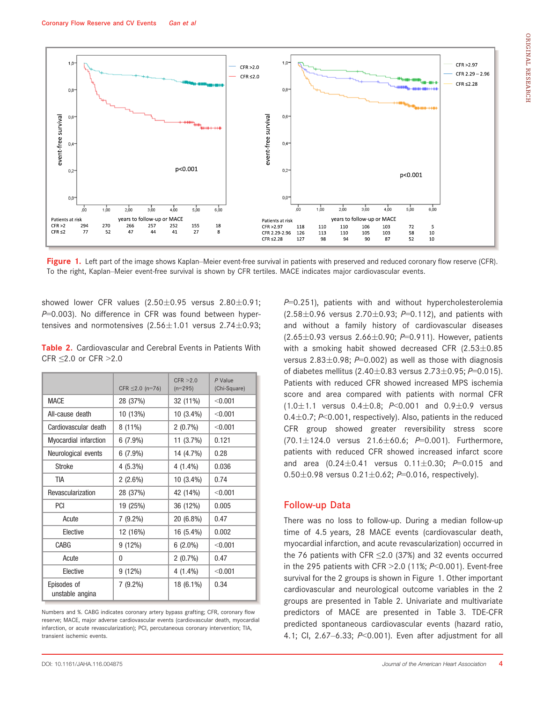

Figure 1. Left part of the image shows Kaplan–Meier event-free survival in patients with preserved and reduced coronary flow reserve (CFR). To the right, Kaplan–Meier event-free survival is shown by CFR tertiles. MACE indicates major cardiovascular events.

showed lower CFR values  $(2.50 \pm 0.95$  versus  $2.80 \pm 0.91$ ;  $P=0.003$ ). No difference in CFR was found between hypertensives and normotensives  $(2.56 \pm 1.01$  versus  $2.74 \pm 0.93$ ;

| <b>Table 2.</b> Cardiovascular and Cerebral Events in Patients With |  |  |  |
|---------------------------------------------------------------------|--|--|--|
| $CFR \le 2.0$ or $CFR > 2.0$                                        |  |  |  |

|                                | CFR $\leq$ 2.0 (n=76) | CFR > 2.0<br>$(n=295)$ | $P$ Value<br>(Chi-Square) |
|--------------------------------|-----------------------|------------------------|---------------------------|
| <b>MACE</b>                    | 28 (37%)              | 32 (11%)               | < 0.001                   |
| All-cause death                | 10 (13%)              | $10(3.4\%)$            | < 0.001                   |
| Cardiovascular death           | $8(11\%)$             | $2(0.7\%)$             | < 0.001                   |
| <b>Myocardial infarction</b>   | $6(7.9\%)$            | 11(3.7%)               | 0.121                     |
| Neurological events            | $6(7.9\%)$            | 14 (4.7%)              | 0.28                      |
| Stroke                         | 4 (5.3%)              | 4 (1.4%)               | 0.036                     |
| TIA                            | $2(2.6\%)$            | $10(3.4\%)$            | 0.74                      |
| Revascularization              | 28 (37%)              | 42 (14%)               | < 0.001                   |
| <b>PCI</b>                     | 19 (25%)              | 36 (12%)               | 0.005                     |
| Acute                          | $7(9.2\%)$            | 20 (6.8%)              | 0.47                      |
| Elective                       | 12 (16%)              | 16 (5.4%)              | 0.002                     |
| CABG                           | $9(12\%)$             | $6(2.0\%)$             | < 0.001                   |
| Acute                          | 0                     | $2(0.7\%)$             | 0.47                      |
| Elective                       | $9(12\%)$             | $4(1.4\%)$             | < 0.001                   |
| Episodes of<br>unstable angina | $7(9.2\%)$            | 18 (6.1%)              | 0.34                      |

Numbers and %. CABG indicates coronary artery bypass grafting; CFR, coronary flow reserve; MACE, major adverse cardiovascular events (cardiovascular death, myocardial infarction, or acute revascularization); PCI, percutaneous coronary intervention; TIA, transient ischemic events.

 $P=0.251$ ), patients with and without hypercholesterolemia  $(2.58\pm0.96$  versus  $2.70\pm0.93$ ; P=0.112), and patients with and without a family history of cardiovascular diseases (2.65 $\pm$ 0.93 versus 2.66 $\pm$ 0.90; P=0.911). However, patients with a smoking habit showed decreased CFR  $(2.53\pm0.85)$ versus 2.83 $\pm$ 0.98; P=0.002) as well as those with diagnosis of diabetes mellitus (2.40 $\pm$ 0.83 versus 2.73 $\pm$ 0.95; P=0.015). Patients with reduced CFR showed increased MPS ischemia score and area compared with patients with normal CFR  $(1.0 \pm 1.1$  versus  $0.4 \pm 0.8$ ; P<0.001 and  $0.9 \pm 0.9$  versus 0.4 $\pm$ 0.7; P<0.001, respectively). Also, patients in the reduced CFR group showed greater reversibility stress score  $(70.1 \pm 124.0$  versus  $21.6 \pm 60.6$ ;  $P=0.001$ ). Furthermore, patients with reduced CFR showed increased infarct score and area  $(0.24 \pm 0.41$  versus  $0.11 \pm 0.30$ ;  $P=0.015$  and  $0.50\pm0.98$  versus  $0.21\pm0.62$ ; P=0.016, respectively).

#### Follow-up Data

There was no loss to follow-up. During a median follow-up time of 4.5 years, 28 MACE events (cardiovascular death, myocardial infarction, and acute revascularization) occurred in the 76 patients with CFR  $\leq$  2.0 (37%) and 32 events occurred in the 295 patients with CFR  $>2.0$  (11%;  $P<0.001$ ). Event-free survival for the 2 groups is shown in Figure 1. Other important cardiovascular and neurological outcome variables in the 2 groups are presented in Table 2. Univariate and multivariate predictors of MACE are presented in Table 3. TDE-CFR predicted spontaneous cardiovascular events (hazard ratio, 4.1; CI, 2.67–6.33; P<0.001). Even after adjustment for all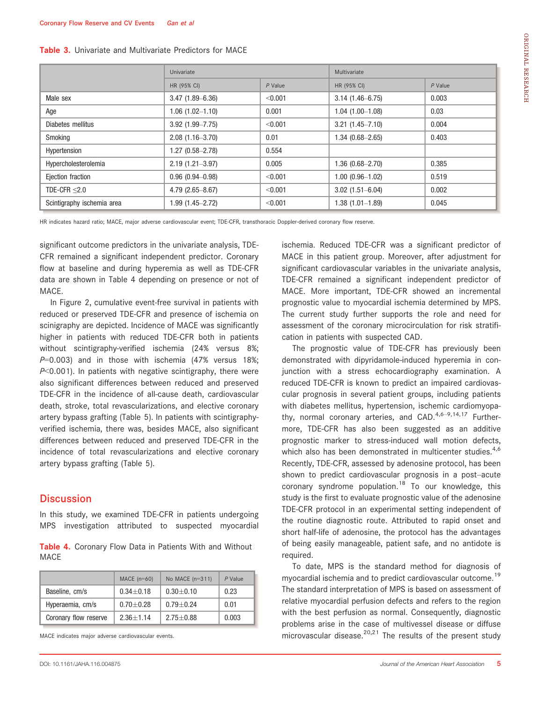| <b>Table 3.</b> Univariate and Multivariate Predictors for MACE |
|-----------------------------------------------------------------|
|-----------------------------------------------------------------|

|                            | Univariate<br>$P$ Value<br>HR (95% CI) |         | Multivariate           |           |  |
|----------------------------|----------------------------------------|---------|------------------------|-----------|--|
|                            |                                        |         | HR (95% CI)            | $P$ Value |  |
| Male sex                   | $3.47(1.89 - 6.36)$                    | < 0.001 | $3.14(1.46 - 6.75)$    | 0.003     |  |
| Age                        | $1.06(1.02 - 1.10)$                    | 0.001   | $1.04(1.00 - 1.08)$    | 0.03      |  |
| Diabetes mellitus          | $3.92(1.99 - 7.75)$                    | < 0.001 | $3.21(1.45 - 7.10)$    | 0.004     |  |
| Smoking                    | $2.08(1.16 - 3.70)$                    | 0.01    | $1.34(0.68 - 2.65)$    | 0.403     |  |
| Hypertension               | $1.27(0.58 - 2.78)$                    | 0.554   |                        |           |  |
| Hypercholesterolemia       | $2.19(1.21 - 3.97)$                    | 0.005   | $1.36(0.68 - 2.70)$    | 0.385     |  |
| Ejection fraction          | $0.96(0.94 - 0.98)$                    | < 0.001 | $1.00$ $(0.96 - 1.02)$ | 0.519     |  |
| TDE-CFR $\leq$ 2.0         | $4.79(2.65 - 8.67)$                    | < 0.001 | $3.02(1.51 - 6.04)$    | 0.002     |  |
| Scintigraphy ischemia area | 1.99 (1.45-2.72)                       | < 0.001 | $1.38(1.01 - 1.89)$    | 0.045     |  |

HR indicates hazard ratio; MACE, major adverse cardiovascular event; TDE-CFR, transthoracic Doppler-derived coronary flow reserve.

significant outcome predictors in the univariate analysis, TDE-CFR remained a significant independent predictor. Coronary flow at baseline and during hyperemia as well as TDE-CFR data are shown in Table 4 depending on presence or not of MACE.

In Figure 2, cumulative event-free survival in patients with reduced or preserved TDE-CFR and presence of ischemia on scinigraphy are depicted. Incidence of MACE was significantly higher in patients with reduced TDE-CFR both in patients without scintigraphy-verified ischemia (24% versus 8%;  $P=0.003$ ) and in those with ischemia (47% versus 18%;  $P<0.001$ ). In patients with negative scintigraphy, there were also significant differences between reduced and preserved TDE-CFR in the incidence of all-cause death, cardiovascular death, stroke, total revascularizations, and elective coronary artery bypass grafting (Table 5). In patients with scintigraphyverified ischemia, there was, besides MACE, also significant differences between reduced and preserved TDE-CFR in the incidence of total revascularizations and elective coronary artery bypass grafting (Table 5).

## **Discussion**

In this study, we examined TDE-CFR in patients undergoing MPS investigation attributed to suspected myocardial

Table 4. Coronary Flow Data in Patients With and Without MACE

|                       | MACE $(n=60)$ | No MACE $(n=311)$ | P Value |
|-----------------------|---------------|-------------------|---------|
| Baseline, cm/s        | $0.34 + 0.18$ | $0.30 + 0.10$     | 0.23    |
| Hyperaemia, cm/s      | $0.70 + 0.28$ | $0.79 + 0.24$     | 0.01    |
| Coronary flow reserve | $2.36 + 1.14$ | $2.75 + 0.88$     | 0.003   |

MACE indicates major adverse cardiovascular events.

ischemia. Reduced TDE-CFR was a significant predictor of MACE in this patient group. Moreover, after adjustment for significant cardiovascular variables in the univariate analysis, TDE-CFR remained a significant independent predictor of MACE. More important, TDE-CFR showed an incremental prognostic value to myocardial ischemia determined by MPS. The current study further supports the role and need for assessment of the coronary microcirculation for risk stratification in patients with suspected CAD.

The prognostic value of TDE-CFR has previously been demonstrated with dipyridamole-induced hyperemia in conjunction with a stress echocardiography examination. A reduced TDE-CFR is known to predict an impaired cardiovascular prognosis in several patient groups, including patients with diabetes mellitus, hypertension, ischemic cardiomyopathy, normal coronary arteries, and CAD.<sup>4,6-9,14,17</sup> Furthermore, TDE-CFR has also been suggested as an additive prognostic marker to stress-induced wall motion defects, which also has been demonstrated in multicenter studies.<sup>4,6</sup> Recently, TDE-CFR, assessed by adenosine protocol, has been shown to predict cardiovascular prognosis in a post–acute coronary syndrome population.<sup>18</sup> To our knowledge, this study is the first to evaluate prognostic value of the adenosine TDE-CFR protocol in an experimental setting independent of the routine diagnostic route. Attributed to rapid onset and short half-life of adenosine, the protocol has the advantages of being easily manageable, patient safe, and no antidote is required.

To date, MPS is the standard method for diagnosis of myocardial ischemia and to predict cardiovascular outcome.<sup>19</sup> The standard interpretation of MPS is based on assessment of relative myocardial perfusion defects and refers to the region with the best perfusion as normal. Consequently, diagnostic problems arise in the case of multivessel disease or diffuse microvascular disease. $20,21$  The results of the present study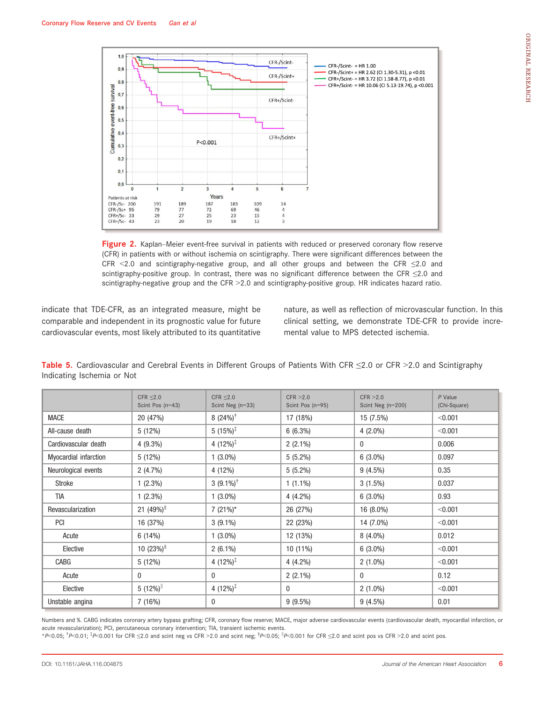

Figure 2. Kaplan–Meier event-free survival in patients with reduced or preserved coronary flow reserve (CFR) in patients with or without ischemia on scintigraphy. There were significant differences between the CFR <2.0 and scintigraphy-negative group, and all other groups and between the CFR  $\leq$ 2.0 and scintigraphy-positive group. In contrast, there was no significant difference between the CFR ≤2.0 and scintigraphy-negative group and the CFR >2.0 and scintigraphy-positive group. HR indicates hazard ratio.

indicate that TDE-CFR, as an integrated measure, might be comparable and independent in its prognostic value for future cardiovascular events, most likely attributed to its quantitative nature, as well as reflection of microvascular function. In this clinical setting, we demonstrate TDE-CFR to provide incremental value to MPS detected ischemia.

|                       | CFR $\leq$ 2.0<br>Scint Pos (n=43) | CFR $\leq$ 2.0<br>Scint Neg $(n=33)$ | CFR > 2.0<br>Scint Pos (n=95) | CFR > 2.0<br>Scint Neg $(n=200)$ | $P$ Value<br>(Chi-Square) |
|-----------------------|------------------------------------|--------------------------------------|-------------------------------|----------------------------------|---------------------------|
| <b>MACE</b>           | 20 (47%)                           | 8 $(24\%)^{\dagger}$                 | 17 (18%)                      | 15 (7.5%)                        | < 0.001                   |
| All-cause death       | 5(12%)                             | $5(15\%)^{\ddagger}$                 | $6(6.3\%)$                    | $4(2.0\%)$                       | < 0.001                   |
| Cardiovascular death  | $4(9.3\%)$                         | 4 $(12\%)^{\ddagger}$                | $2(2.1\%)$                    | $\mathbf 0$                      | 0.006                     |
| Myocardial infarction | 5(12%)                             | $1(3.0\%)$                           | $5(5.2\%)$                    | $6(3.0\%)$                       | 0.097                     |
| Neurological events   | $2(4.7\%)$                         | 4 (12%)                              | $5(5.2\%)$                    | $9(4.5\%)$                       | 0.35                      |
| Stroke                | $1(2.3\%)$                         | 3 $(9.1\%)^{\dagger}$                | $1(1.1\%)$                    | $3(1.5\%)$                       | 0.037                     |
| <b>TIA</b>            | $1(2.3\%)$                         | $1(3.0\%)$                           | $4(4.2\%)$                    | $6(3.0\%)$                       | 0.93                      |
| Revascularization     | 21 $(49\%)$ <sup>§</sup>           | 7 $(21\%)^*$                         | 26 (27%)                      | 16 (8.0%)                        | < 0.001                   |
| <b>PCI</b>            | 16 (37%)                           | $3(9.1\%)$                           | 22 (23%)                      | 14 (7.0%)                        | < 0.001                   |
| Acute                 | 6(14%)                             | $1(3.0\%)$                           | 12 (13%)                      | $8(4.0\%)$                       | 0.012                     |
| Elective              | 10 $(23\%)^{\S}$                   | $2(6.1\%)$                           | 10 (11%)                      | $6(3.0\%)$                       | < 0.001                   |
| CABG                  | 5(12%)                             | 4 $(12\%)^{\ddagger}$                | $4(4.2\%)$                    | $2(1.0\%)$                       | < 0.001                   |
| Acute                 | $\mathbf{0}$                       | $\mathbf 0$                          | $2(2.1\%)$                    | $\mathbf 0$                      | 0.12                      |
| Elective              | $5(12\%)$                          | 4 $(12\%)^{\ddagger}$                | $\mathbf{0}$                  | $2(1.0\%)$                       | < 0.001                   |
| Unstable angina       | 7(16%)                             | $\mathbf 0$                          | $9(9.5\%)$                    | $9(4.5\%)$                       | 0.01                      |

Table 5. Cardiovascular and Cerebral Events in Different Groups of Patients With CFR ≤2.0 or CFR >2.0 and Scintigraphy Indicating Ischemia or Not

Numbers and %. CABG indicates coronary artery bypass grafting; CFR, coronary flow reserve; MACE, major adverse cardiovascular events (cardiovascular death, myocardial infarction, or acute revascularization); PCI, percutaneous coronary intervention; TIA, transient ischemic events.

\*P<0.05;  $\frac{1}{2}$ P<0.01;  $\frac{1}{2}$ P<0.001 for CFR ≤2.0 and scint neg vs CFR >2.0 and scint neg vs CFR >2.0 and scint neg vs CFR >2.0 and scint neg vs CFR >2.0 and scint pos.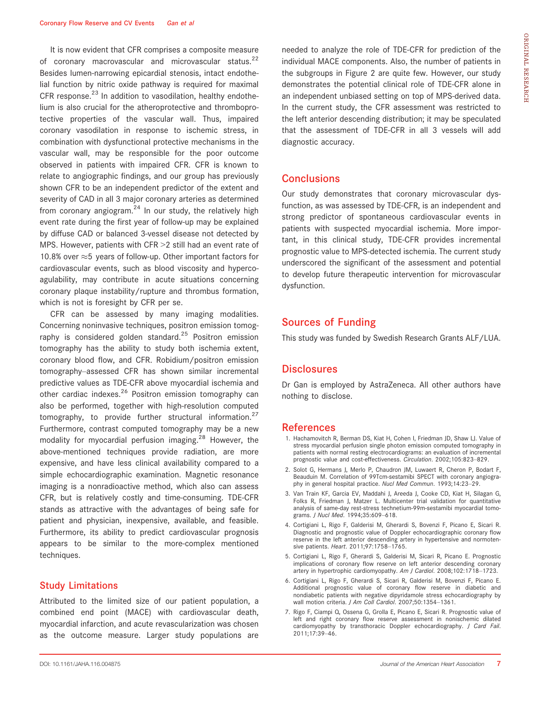It is now evident that CFR comprises a composite measure of coronary macrovascular and microvascular status.<sup>22</sup> Besides lumen-narrowing epicardial stenosis, intact endothelial function by nitric oxide pathway is required for maximal CFR response. $^{23}$  In addition to vasodilation, healthy endothelium is also crucial for the atheroprotective and thromboprotective properties of the vascular wall. Thus, impaired coronary vasodilation in response to ischemic stress, in combination with dysfunctional protective mechanisms in the vascular wall, may be responsible for the poor outcome observed in patients with impaired CFR. CFR is known to relate to angiographic findings, and our group has previously shown CFR to be an independent predictor of the extent and severity of CAD in all 3 major coronary arteries as determined from coronary angiogram.<sup>24</sup> In our study, the relatively high event rate during the first year of follow-up may be explained by diffuse CAD or balanced 3-vessel disease not detected by MPS. However, patients with CFR >2 still had an event rate of 10.8% over  $\approx$  5 years of follow-up. Other important factors for cardiovascular events, such as blood viscosity and hypercoagulability, may contribute in acute situations concerning coronary plaque instability/rupture and thrombus formation, which is not is foresight by CFR per se.

CFR can be assessed by many imaging modalities. Concerning noninvasive techniques, positron emission tomography is considered golden standard.<sup>25</sup> Positron emission tomography has the ability to study both ischemia extent, coronary blood flow, and CFR. Robidium/positron emission tomography–assessed CFR has shown similar incremental predictive values as TDE-CFR above myocardial ischemia and other cardiac indexes.<sup>26</sup> Positron emission tomography can also be performed, together with high-resolution computed tomography, to provide further structural information.<sup>27</sup> Furthermore, contrast computed tomography may be a new modality for myocardial perfusion imaging.<sup>28</sup> However, the above-mentioned techniques provide radiation, are more expensive, and have less clinical availability compared to a simple echocardiographic examination. Magnetic resonance imaging is a nonradioactive method, which also can assess CFR, but is relatively costly and time-consuming. TDE-CFR stands as attractive with the advantages of being safe for patient and physician, inexpensive, available, and feasible. Furthermore, its ability to predict cardiovascular prognosis appears to be similar to the more-complex mentioned techniques.

## Study Limitations

Attributed to the limited size of our patient population, a combined end point (MACE) with cardiovascular death, myocardial infarction, and acute revascularization was chosen as the outcome measure. Larger study populations are

needed to analyze the role of TDE-CFR for prediction of the individual MACE components. Also, the number of patients in the subgroups in Figure 2 are quite few. However, our study demonstrates the potential clinical role of TDE-CFR alone in an independent unbiased setting on top of MPS-derived data. In the current study, the CFR assessment was restricted to the left anterior descending distribution; it may be speculated that the assessment of TDE-CFR in all 3 vessels will add diagnostic accuracy.

## **Conclusions**

Our study demonstrates that coronary microvascular dysfunction, as was assessed by TDE-CFR, is an independent and strong predictor of spontaneous cardiovascular events in patients with suspected myocardial ischemia. More important, in this clinical study, TDE-CFR provides incremental prognostic value to MPS-detected ischemia. The current study underscored the significant of the assessment and potential to develop future therapeutic intervention for microvascular dysfunction.

# Sources of Funding

This study was funded by Swedish Research Grants ALF/LUA.

# **Disclosures**

Dr Gan is employed by AstraZeneca. All other authors have nothing to disclose.

#### References

- 1. Hachamovitch R, Berman DS, Kiat H, Cohen I, Friedman JD, Shaw LJ. Value of stress myocardial perfusion single photon emission computed tomography in patients with normal resting electrocardiograms: an evaluation of incremental prognostic value and cost-effectiveness. Circulation. 2002;105:823–829.
- 2. Solot G, Hermans J, Merlo P, Chaudron JM, Luwaert R, Cheron P, Bodart F, Beauduin M. Correlation of 99Tcm-sestamibi SPECT with coronary angiography in general hospital practice. Nucl Med Commun. 1993;14:23–29.
- 3. Van Train KF, Garcia EV, Maddahi J, Areeda J, Cooke CD, Kiat H, Silagan G, Folks R, Friedman J, Matzer L. Multicenter trial validation for quantitative analysis of same-day rest-stress technetium-99m-sestamibi myocardial tomograms. J Nucl Med. 1994;35:609–618.
- 4. Cortigiani L, Rigo F, Galderisi M, Gherardi S, Bovenzi F, Picano E, Sicari R. Diagnostic and prognostic value of Doppler echocardiographic coronary flow reserve in the left anterior descending artery in hypertensive and normotensive patients. Heart. 2011;97:1758–1765.
- 5. Cortigiani L, Rigo F, Gherardi S, Galderisi M, Sicari R, Picano E. Prognostic implications of coronary flow reserve on left anterior descending coronary artery in hypertrophic cardiomyopathy. Am J Cardiol. 2008;102:1718–1723.
- 6. Cortigiani L, Rigo F, Gherardi S, Sicari R, Galderisi M, Bovenzi F, Picano E. Additional prognostic value of coronary flow reserve in diabetic and nondiabetic patients with negative dipyridamole stress echocardiography by wall motion criteria. J Am Coll Cardiol. 2007;50:1354–1361.
- 7. Rigo F, Ciampi Q, Ossena G, Grolla E, Picano E, Sicari R. Prognostic value of left and right coronary flow reserve assessment in nonischemic dilated cardiomyopathy by transthoracic Doppler echocardiography. J Card Fail. 2011;17:39–46.